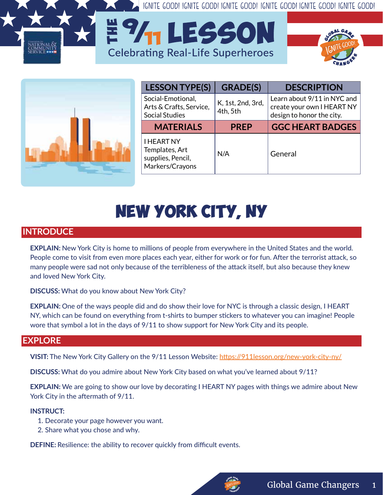IGNITE GOOD! IGNITE GOOD! IGNITE GOOD! IGNITE GOOD! IGNITE GOOD! IGNITE GOOD!



| <b>LESSON TYPE(S)</b>                                                       | <b>GRADE(S)</b>               | <b>DESCRIPTION</b>                                                                     |
|-----------------------------------------------------------------------------|-------------------------------|----------------------------------------------------------------------------------------|
| Social-Emotional,<br>Arts & Crafts, Service,<br><b>Social Studies</b>       | K, 1st, 2nd, 3rd,<br>4th, 5th | Learn about 9/11 in NYC and<br>create your own I HEART NY<br>design to honor the city. |
| <b>MATERIALS</b>                                                            | <b>PREP</b>                   | <b>GGC HEART BADGES</b>                                                                |
| <b>I HEART NY</b><br>Templates, Art<br>supplies, Pencil,<br>Markers/Crayons | N/A                           | General                                                                                |

# **NEW YORK CITY, NY**

**E 7<sub>11</sub> LESSON** 

**Celebrating Real-Life Superheroes** 

# **INTRODUCE**

**EXPLAIN:** New York City is home to millions of people from everywhere in the United States and the world. People come to visit from even more places each year, either for work or for fun. After the terrorist attack, so many people were sad not only because of the terribleness of the attack itself, but also because they knew and loved New York City.

**DISCUSS:** What do you know about New York City?

**EXPLAIN:** One of the ways people did and do show their love for NYC is through a classic design, I HEART NY, which can be found on everything from t-shirts to bumper stickers to whatever you can imagine! People wore that symbol a lot in the days of 9/11 to show support for New York City and its people.

### **EXPLORE**

**VISIT:** The New York City Gallery on the 9/11 Lesson Website: https://911lesson.org/new-york-city-ny/

**DISCUSS:** What do you admire about New York City based on what you've learned about 9/11?

**EXPLAIN:** We are going to show our love by decorating I HEART NY pages with things we admire about New York City in the aftermath of 9/11.

#### **INSTRUCT:**

- 1. Decorate your page however you want.
- 2. Share what you chose and why.

**DEFINE:** Resilience: the ability to recover quickly from difficult events.

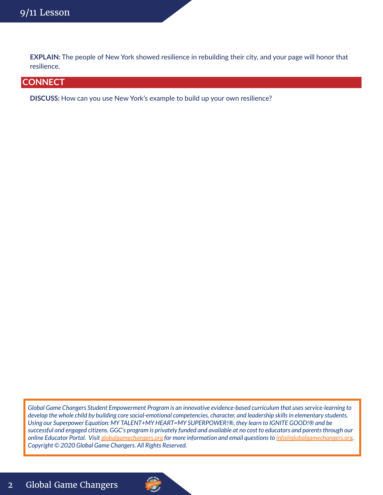**EXPLAIN:** The people of New York showed resilience in rebuilding their city, and your page will honor that resilience.

# **CONNECT**

**DISCUSS:** How can you use New York's example to build up your own resilience?

*Global Game Changers Student Empowerment Program is an innovative evidence-based curriculum that uses service-learning to develop the whole child by building core social-emotional competencies, character, and leadership skills in elementary students. Using our Superpower Equation: MY TALENT+MY HEART=MY SUPERPOWER!®, they learn to IGNITE GOOD!® and be successful and engaged citizens. GGC's program is privately funded and available at no cost to educators and parents through our online Educator Portal. Visit globalgamechangers.org for more information and email questions to info@globalgamechangers.org. Copyright © 2020 Global Game Changers. All Rights Reserved.*